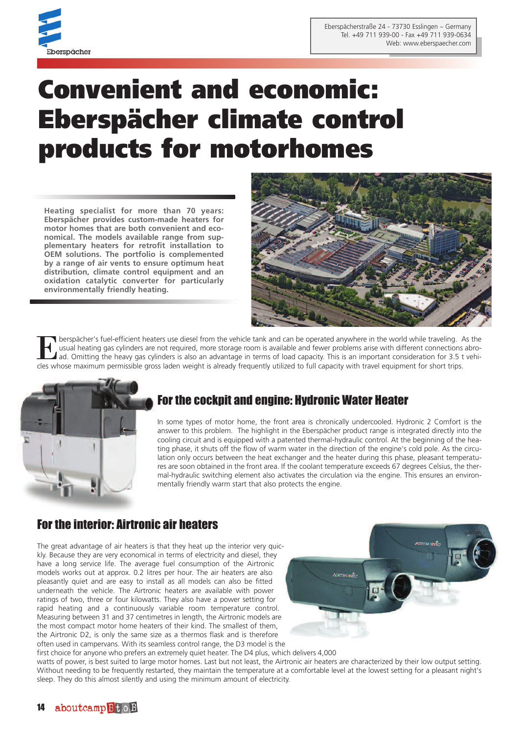

# **Convenient and economic: Eberspächer climate control products for motorhomes**

**Heating specialist for more than 70 years: Eberspächer provides custom-made heaters for motor homes that are both convenient and economical. The models available range from supplementary heaters for retrofit installation to OEM solutions. The portfolio is complemented by a range of air vents to ensure optimum heat distribution, climate control equipment and an oxidation catalytic converter for particularly environmentally friendly heating.**



Eberspächer's fuel-efficient heaters use diesel from the vehicle tank and can be operated anywhere in the world while traveling. As the usual heating gas cylinders are not required, more storage room is available and fewer usual heating gas cylinders are not required, more storage room is available and fewer problems arise with different connections abro-A ad. Omitting the heavy gas cylinders is also an advantage in terms of load capacity. This is an important consideration for 3.5 t vehicles whose maximum permissible gross laden weight is already frequently utilized to full capacity with travel equipment for short trips.



# For the cockpit and engine: Hydronic Water Heater

In some types of motor home, the front area is chronically undercooled. Hydronic 2 Comfort is the answer to this problem. The highlight in the Eberspächer product range is integrated directly into the cooling circuit and is equipped with a patented thermal-hydraulic control. At the beginning of the heating phase, it shuts off the flow of warm water in the direction of the engine's cold pole. As the circulation only occurs between the heat exchanger and the heater during this phase, pleasant temperatures are soon obtained in the front area. If the coolant temperature exceeds 67 degrees Celsius, the thermal-hydraulic switching element also activates the circulation via the engine. This ensures an environmentally friendly warm start that also protects the engine.

#### For the interior: Airtronic air heaters

The great advantage of air heaters is that they heat up the interior very quickly. Because they are very economical in terms of electricity and diesel, they have a long service life. The average fuel consumption of the Airtronic models works out at approx. 0.2 litres per hour. The air heaters are also pleasantly quiet and are easy to install as all models can also be fitted underneath the vehicle. The Airtronic heaters are available with power ratings of two, three or four kilowatts. They also have a power setting for rapid heating and a continuously variable room temperature control. Measuring between 31 and 37 centimetres in length, the Airtronic models are the most compact motor home heaters of their kind. The smallest of them, the Airtronic D2, is only the same size as a thermos flask and is therefore often used in campervans. With its seamless control range, the D3 model is the



first choice for anyone who prefers an extremely quiet heater. The D4 plus, which delivers 4,000 watts of power, is best suited to large motor homes. Last but not least, the Airtronic air heaters are characterized by their low output setting. Without needing to be frequently restarted, they maintain the temperature at a comfortable level at the lowest setting for a pleasant night's sleep. They do this almost silently and using the minimum amount of electricity.